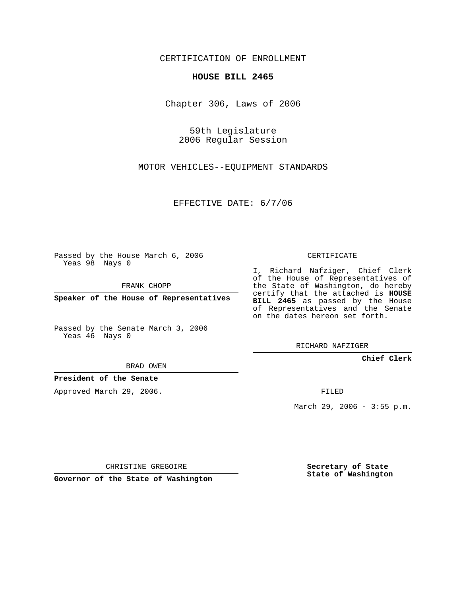CERTIFICATION OF ENROLLMENT

## **HOUSE BILL 2465**

Chapter 306, Laws of 2006

59th Legislature 2006 Regular Session

MOTOR VEHICLES--EQUIPMENT STANDARDS

EFFECTIVE DATE: 6/7/06

Passed by the House March 6, 2006 Yeas 98 Nays 0

FRANK CHOPP

**Speaker of the House of Representatives**

Passed by the Senate March 3, 2006 Yeas 46 Nays 0

BRAD OWEN

**President of the Senate**

Approved March 29, 2006.

CERTIFICATE

I, Richard Nafziger, Chief Clerk of the House of Representatives of the State of Washington, do hereby certify that the attached is **HOUSE BILL 2465** as passed by the House of Representatives and the Senate on the dates hereon set forth.

RICHARD NAFZIGER

**Chief Clerk**

FILED

March 29, 2006 - 3:55 p.m.

CHRISTINE GREGOIRE

**Governor of the State of Washington**

**Secretary of State State of Washington**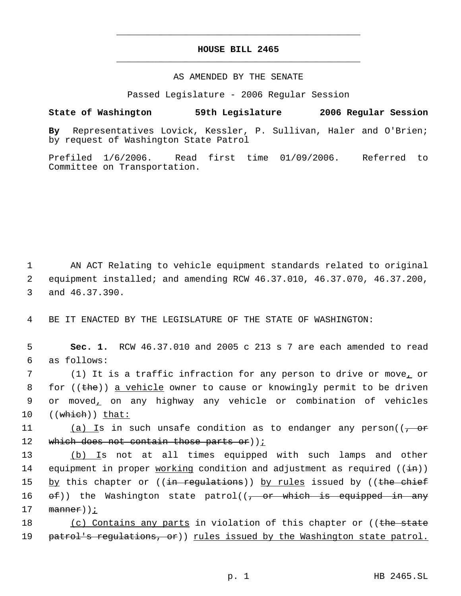## **HOUSE BILL 2465** \_\_\_\_\_\_\_\_\_\_\_\_\_\_\_\_\_\_\_\_\_\_\_\_\_\_\_\_\_\_\_\_\_\_\_\_\_\_\_\_\_\_\_\_\_

\_\_\_\_\_\_\_\_\_\_\_\_\_\_\_\_\_\_\_\_\_\_\_\_\_\_\_\_\_\_\_\_\_\_\_\_\_\_\_\_\_\_\_\_\_

## AS AMENDED BY THE SENATE

Passed Legislature - 2006 Regular Session

## **State of Washington 59th Legislature 2006 Regular Session**

**By** Representatives Lovick, Kessler, P. Sullivan, Haler and O'Brien; by request of Washington State Patrol

Prefiled 1/6/2006. Read first time 01/09/2006. Referred to Committee on Transportation.

 1 AN ACT Relating to vehicle equipment standards related to original 2 equipment installed; and amending RCW 46.37.010, 46.37.070, 46.37.200, 3 and 46.37.390.

4 BE IT ENACTED BY THE LEGISLATURE OF THE STATE OF WASHINGTON:

 5 **Sec. 1.** RCW 46.37.010 and 2005 c 213 s 7 are each amended to read 6 as follows:

7 (1) It is a traffic infraction for any person to drive or move<sub>1</sub> or 8 for ((the)) <u>a vehicle</u> owner to cause or knowingly permit to be driven 9 or moved, on any highway any vehicle or combination of vehicles 10  $((\text{which}))$  that:

11 (a) Is in such unsafe condition as to endanger any person((<del>, or</del> 12 which does not contain those parts or)  $i$ 

13 (b) Is not at all times equipped with such lamps and other 14 equipment in proper working condition and adjustment as required  $((\pm n))$ 15 by this chapter or ((<del>in regulations</del>)) <u>by rules</u> issued by ((<del>the chief</del> 16  $ef)$ ) the Washington state patrol( $\sqrt{f}$  or which is equipped in any  $17$  manner));

18 (c) Contains any parts in violation of this chapter or ((the state 19 patrol's regulations, or)) rules issued by the Washington state patrol.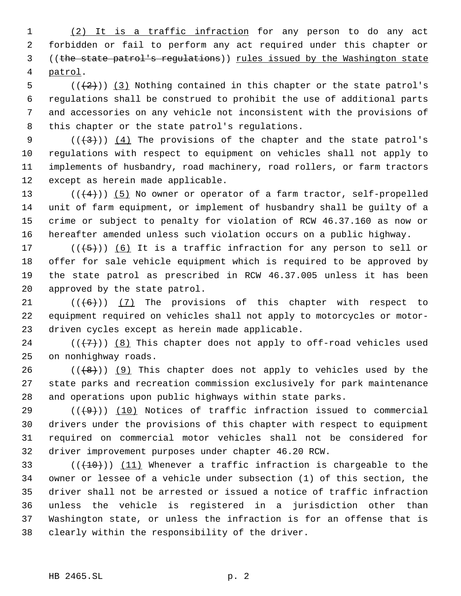1 (2) It is a traffic infraction for any person to do any act forbidden or fail to perform any act required under this chapter or ((the state patrol's regulations)) rules issued by the Washington state patrol.

 $((+2))$   $(3)$  Nothing contained in this chapter or the state patrol's regulations shall be construed to prohibit the use of additional parts and accessories on any vehicle not inconsistent with the provisions of this chapter or the state patrol's regulations.

 $((+3))$   $(4)$  The provisions of the chapter and the state patrol's regulations with respect to equipment on vehicles shall not apply to implements of husbandry, road machinery, road rollers, or farm tractors except as herein made applicable.

 $((+4))$  (5) No owner or operator of a farm tractor, self-propelled unit of farm equipment, or implement of husbandry shall be guilty of a crime or subject to penalty for violation of RCW 46.37.160 as now or hereafter amended unless such violation occurs on a public highway.

 $((+5))$   $(6)$  It is a traffic infraction for any person to sell or offer for sale vehicle equipment which is required to be approved by the state patrol as prescribed in RCW 46.37.005 unless it has been approved by the state patrol.

21  $((\lbrace 6 \rbrace))$  (7) The provisions of this chapter with respect to equipment required on vehicles shall not apply to motorcycles or motor-driven cycles except as herein made applicable.

24  $((+7))$  (8) This chapter does not apply to off-road vehicles used on nonhighway roads.

 $((+8))$  (9) This chapter does not apply to vehicles used by the state parks and recreation commission exclusively for park maintenance and operations upon public highways within state parks.

 $((+9))$  (10) Notices of traffic infraction issued to commercial drivers under the provisions of this chapter with respect to equipment required on commercial motor vehicles shall not be considered for driver improvement purposes under chapter 46.20 RCW.

 $((+10))$   $(11)$  Whenever a traffic infraction is chargeable to the owner or lessee of a vehicle under subsection (1) of this section, the driver shall not be arrested or issued a notice of traffic infraction unless the vehicle is registered in a jurisdiction other than Washington state, or unless the infraction is for an offense that is clearly within the responsibility of the driver.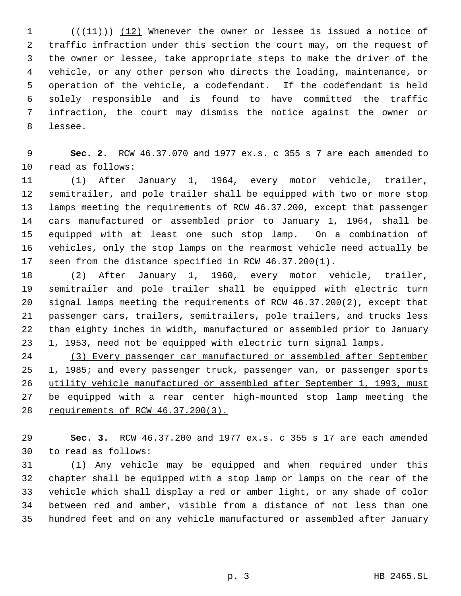$((+11))$   $(12)$  Whenever the owner or lessee is issued a notice of traffic infraction under this section the court may, on the request of the owner or lessee, take appropriate steps to make the driver of the vehicle, or any other person who directs the loading, maintenance, or operation of the vehicle, a codefendant. If the codefendant is held solely responsible and is found to have committed the traffic infraction, the court may dismiss the notice against the owner or lessee.

 **Sec. 2.** RCW 46.37.070 and 1977 ex.s. c 355 s 7 are each amended to read as follows:

 (1) After January 1, 1964, every motor vehicle, trailer, semitrailer, and pole trailer shall be equipped with two or more stop lamps meeting the requirements of RCW 46.37.200, except that passenger cars manufactured or assembled prior to January 1, 1964, shall be equipped with at least one such stop lamp. On a combination of vehicles, only the stop lamps on the rearmost vehicle need actually be seen from the distance specified in RCW 46.37.200(1).

 (2) After January 1, 1960, every motor vehicle, trailer, semitrailer and pole trailer shall be equipped with electric turn signal lamps meeting the requirements of RCW 46.37.200(2), except that passenger cars, trailers, semitrailers, pole trailers, and trucks less than eighty inches in width, manufactured or assembled prior to January 1, 1953, need not be equipped with electric turn signal lamps.

 (3) Every passenger car manufactured or assembled after September 25 1, 1985; and every passenger truck, passenger van, or passenger sports 26 utility vehicle manufactured or assembled after September 1, 1993, must 27 be equipped with a rear center high-mounted stop lamp meeting the requirements of RCW 46.37.200(3).

 **Sec. 3.** RCW 46.37.200 and 1977 ex.s. c 355 s 17 are each amended to read as follows:

 (1) Any vehicle may be equipped and when required under this chapter shall be equipped with a stop lamp or lamps on the rear of the vehicle which shall display a red or amber light, or any shade of color between red and amber, visible from a distance of not less than one hundred feet and on any vehicle manufactured or assembled after January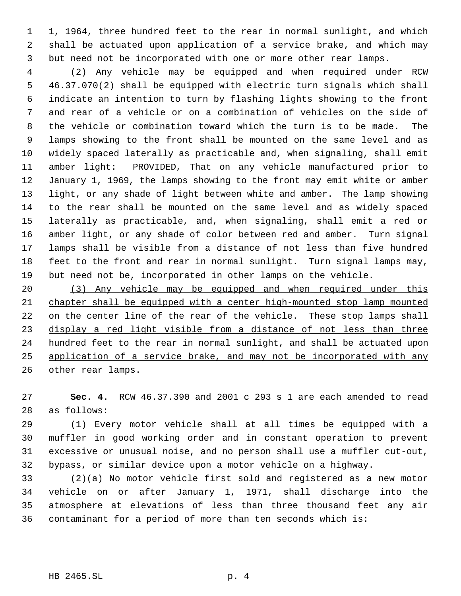1, 1964, three hundred feet to the rear in normal sunlight, and which shall be actuated upon application of a service brake, and which may but need not be incorporated with one or more other rear lamps.

 (2) Any vehicle may be equipped and when required under RCW 46.37.070(2) shall be equipped with electric turn signals which shall indicate an intention to turn by flashing lights showing to the front and rear of a vehicle or on a combination of vehicles on the side of the vehicle or combination toward which the turn is to be made. The lamps showing to the front shall be mounted on the same level and as widely spaced laterally as practicable and, when signaling, shall emit amber light: PROVIDED, That on any vehicle manufactured prior to January 1, 1969, the lamps showing to the front may emit white or amber light, or any shade of light between white and amber. The lamp showing to the rear shall be mounted on the same level and as widely spaced laterally as practicable, and, when signaling, shall emit a red or amber light, or any shade of color between red and amber. Turn signal lamps shall be visible from a distance of not less than five hundred feet to the front and rear in normal sunlight. Turn signal lamps may, but need not be, incorporated in other lamps on the vehicle.

 (3) Any vehicle may be equipped and when required under this chapter shall be equipped with a center high-mounted stop lamp mounted on the center line of the rear of the vehicle. These stop lamps shall display a red light visible from a distance of not less than three 24 hundred feet to the rear in normal sunlight, and shall be actuated upon application of a service brake, and may not be incorporated with any 26 other rear lamps.

 **Sec. 4.** RCW 46.37.390 and 2001 c 293 s 1 are each amended to read as follows:

 (1) Every motor vehicle shall at all times be equipped with a muffler in good working order and in constant operation to prevent excessive or unusual noise, and no person shall use a muffler cut-out, bypass, or similar device upon a motor vehicle on a highway.

 (2)(a) No motor vehicle first sold and registered as a new motor vehicle on or after January 1, 1971, shall discharge into the atmosphere at elevations of less than three thousand feet any air contaminant for a period of more than ten seconds which is: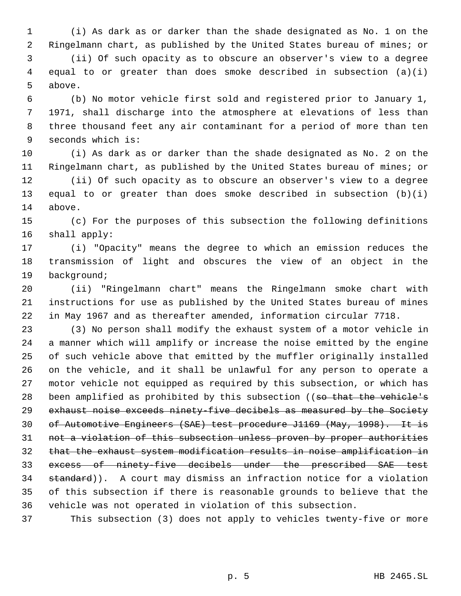(i) As dark as or darker than the shade designated as No. 1 on the Ringelmann chart, as published by the United States bureau of mines; or

 (ii) Of such opacity as to obscure an observer's view to a degree equal to or greater than does smoke described in subsection (a)(i) above.

 (b) No motor vehicle first sold and registered prior to January 1, 1971, shall discharge into the atmosphere at elevations of less than three thousand feet any air contaminant for a period of more than ten seconds which is:

 (i) As dark as or darker than the shade designated as No. 2 on the Ringelmann chart, as published by the United States bureau of mines; or

 (ii) Of such opacity as to obscure an observer's view to a degree equal to or greater than does smoke described in subsection (b)(i) above.

 (c) For the purposes of this subsection the following definitions shall apply:

 (i) "Opacity" means the degree to which an emission reduces the transmission of light and obscures the view of an object in the background;

 (ii) "Ringelmann chart" means the Ringelmann smoke chart with instructions for use as published by the United States bureau of mines in May 1967 and as thereafter amended, information circular 7718.

 (3) No person shall modify the exhaust system of a motor vehicle in a manner which will amplify or increase the noise emitted by the engine of such vehicle above that emitted by the muffler originally installed on the vehicle, and it shall be unlawful for any person to operate a motor vehicle not equipped as required by this subsection, or which has 28 been amplified as prohibited by this subsection ((so that the vehicle's exhaust noise exceeds ninety-five decibels as measured by the Society 30 of Automotive Engineers (SAE) test procedure J1169 (May, 1998). It is not a violation of this subsection unless proven by proper authorities that the exhaust system modification results in noise amplification in excess of ninety-five decibels under the prescribed SAE test 34 standard)). A court may dismiss an infraction notice for a violation of this subsection if there is reasonable grounds to believe that the vehicle was not operated in violation of this subsection.

This subsection (3) does not apply to vehicles twenty-five or more